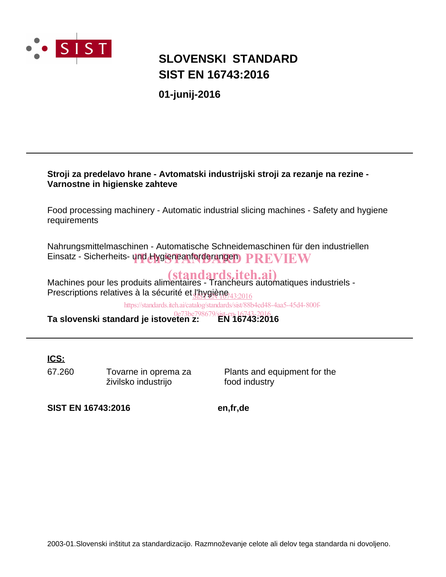

## **SIST EN 16743:2016 SLOVENSKI STANDARD**

**01-junij-2016**

### **Stroji za predelavo hrane - Avtomatski industrijski stroji za rezanje na rezine - Varnostne in higienske zahteve**

Food processing machinery - Automatic industrial slicing machines - Safety and hygiene requirements

Nahrungsmittelmaschinen - Automatische Schneidemaschinen für den industriellen Einsatz - Sicherheits- und Hygieneanforderungen PREVIEW

Machines pour les produits alimentaires - Trancheurs automatiques industriels -Prescriptions relatives à la sécurité et <u>l'hygiène <sub>132016</sub></u>

https://standards.iteh.ai/catalog/standards/sist/88b4ed48-4aa5-45d4-800f-

**Ta slovenski standard je istoveten z:** 0e73be798679/sist-en-16743-2016<br>**0e73be798679/sist-en-16743:2016** 

**ICS:**

67.260 Tovarne in oprema za živilsko industrijo

Plants and equipment for the food industry

**SIST EN 16743:2016 en,fr,de**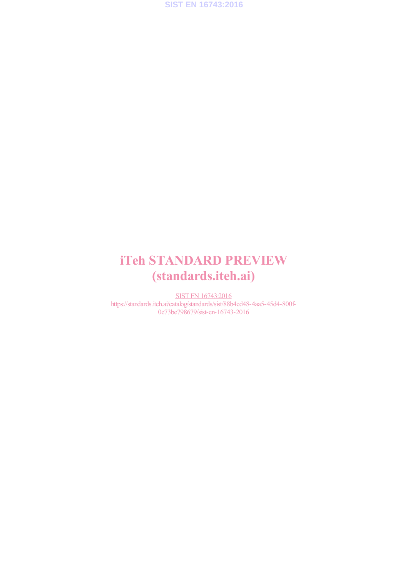

## iTeh STANDARD PREVIEW (standards.iteh.ai)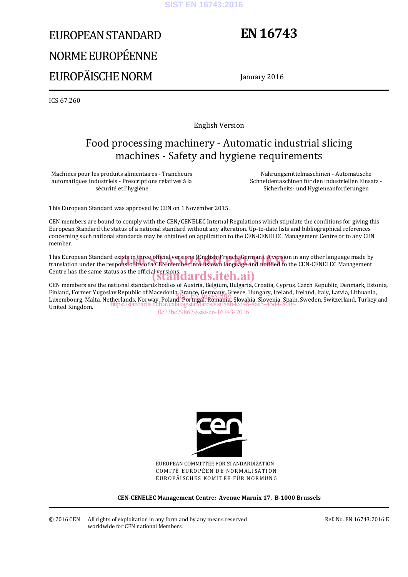#### **SIST EN 16743:2016**

# EUROPEAN STANDARD NORME EUROPÉENNE EUROPÄISCHE NORM

## **EN 16743**

January 2016

ICS 67.260

English Version

## Food processing machinery - Automatic industrial slicing machines - Safety and hygiene requirements

Machines pour les produits alimentaires - Trancheurs automatiques industriels - Prescriptions relatives à la sécurité et l'hygiène

Nahrungsmittelmaschinen - Automatische Schneidemaschinen für den industriellen Einsatz - Sicherheits- und Hygieneanforderungen

This European Standard was approved by CEN on 1 November 2015.

CEN members are bound to comply with the CEN/CENELEC Internal Regulations which stipulate the conditions for giving this European Standard the status of a national standard without any alteration. Up-to-date lists and bibliographical references concerning such national standards may be obtained on application to the CEN-CENELEC Management Centre or to any CEN member.

This European Standard exists in three official versions (English, French, German). A version in any other language made by This European Standard exists in three official versions (English, French, German). A version in any other language made by<br>translation under the responsibility of a CEN member into its own language and notified to the CEN Centre has the same status as the official versions.<br>
Standards.iteh.ai)

CEN members are the national standards bodies of Austria, Belgium, Bulgaria, Croatia, Cyprus, Czech Republic, Denmark, Estonia, Finland, Former Yugoslav Republic of Macedonia, France, Germany, Greece, Hungary, Iceland, Ireland, Italy, Latvia, Lithuania, rinianu, roriner Tugosiav Republic of Macedonia, France, Germany, Greece, Hungary, Icelanu, Irelanu, Italy, Latvia, Lithuania,<br>Luxembourg, Malta, Netherlands, Norway, Poland, Portugal, Romania, Slovakia, Slovenia, Spain, S United Kingdom. https://standards.iteh.ai/catalog/standards/sist/88b4ed48-4aa5-45d4-800f-

0e73be798679/sist-en-16743-2016



EUROPEAN COMMITTEE FOR STANDARDIZATION COMITÉ EUROPÉEN DE NORMALISATION EUROPÄISCHES KOMITEE FÜR NORMUNG

**CEN-CENELEC Management Centre: Avenue Marnix 17, B-1000 Brussels**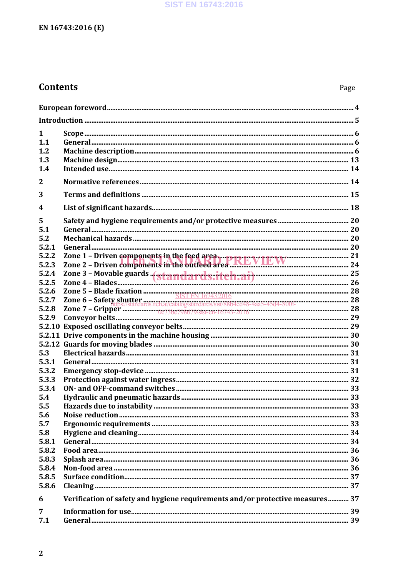## **Contents**

| 1<br>1.1<br>1.2<br>1.3<br>1.4 |                                                                               |  |  |  |
|-------------------------------|-------------------------------------------------------------------------------|--|--|--|
| 2                             |                                                                               |  |  |  |
| 3                             |                                                                               |  |  |  |
| $\overline{\mathbf{4}}$       |                                                                               |  |  |  |
| 5<br>5.1<br>5.2<br>5.2.1      |                                                                               |  |  |  |
| 5.2.2                         |                                                                               |  |  |  |
| 5.2.3                         | Zone 2 - Driven components in the outfeed area. KEVIEW TEW 24                 |  |  |  |
| 5.2.4<br>5.2.5                |                                                                               |  |  |  |
| 5.2.6                         |                                                                               |  |  |  |
| 5.2.7                         |                                                                               |  |  |  |
| 5.2.8                         |                                                                               |  |  |  |
| 5.2.9                         |                                                                               |  |  |  |
|                               |                                                                               |  |  |  |
|                               |                                                                               |  |  |  |
|                               |                                                                               |  |  |  |
| 5.3<br>5.3.1                  |                                                                               |  |  |  |
| 5.3.2                         |                                                                               |  |  |  |
| 5.3.3                         |                                                                               |  |  |  |
| 5.3.4                         |                                                                               |  |  |  |
| 5.4                           |                                                                               |  |  |  |
| 5.5                           |                                                                               |  |  |  |
| 5.6                           |                                                                               |  |  |  |
| 5.7                           |                                                                               |  |  |  |
| 5.8                           |                                                                               |  |  |  |
| 5.8.1                         |                                                                               |  |  |  |
| 5.8.2                         |                                                                               |  |  |  |
| 5.8.3                         |                                                                               |  |  |  |
| 5.8.4<br>5.8.5                |                                                                               |  |  |  |
| 5.8.6                         |                                                                               |  |  |  |
| 6                             | Verification of safety and hygiene requirements and/or protective measures 37 |  |  |  |
| 7                             |                                                                               |  |  |  |
| 7.1                           |                                                                               |  |  |  |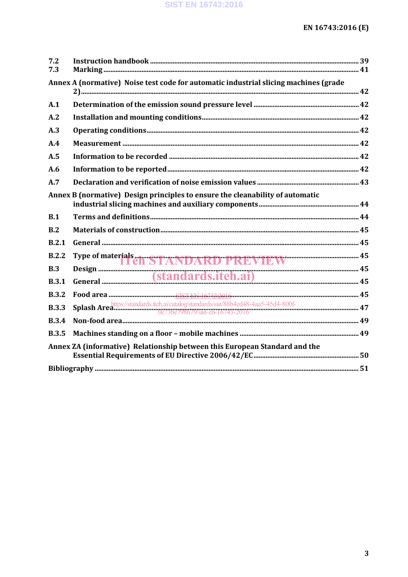| 7.2                                                                        |                                                                                                                          |  |  |
|----------------------------------------------------------------------------|--------------------------------------------------------------------------------------------------------------------------|--|--|
| 7.3                                                                        |                                                                                                                          |  |  |
|                                                                            | Annex A (normative) Noise test code for automatic industrial slicing machines (grade                                     |  |  |
| A.1                                                                        |                                                                                                                          |  |  |
| A.2                                                                        |                                                                                                                          |  |  |
| A.3                                                                        |                                                                                                                          |  |  |
| A.4                                                                        |                                                                                                                          |  |  |
| A.5                                                                        |                                                                                                                          |  |  |
| A.6                                                                        |                                                                                                                          |  |  |
| A.7                                                                        |                                                                                                                          |  |  |
|                                                                            | Annex B (normative) Design principles to ensure the cleanability of automatic                                            |  |  |
| B.1                                                                        |                                                                                                                          |  |  |
| B.2                                                                        |                                                                                                                          |  |  |
| B.2.1                                                                      |                                                                                                                          |  |  |
| B.2.2                                                                      | Type of materials en STANDARD PREVIEW                                                                                    |  |  |
| B.3                                                                        |                                                                                                                          |  |  |
| <b>B.3.1</b>                                                               |                                                                                                                          |  |  |
| <b>B.3.2</b>                                                               |                                                                                                                          |  |  |
| <b>B.3.3</b>                                                               | Splash Area https://standards.itch.ai/catalog/standards/sist/88b4ed48-4aa5-45d4-800f-<br>0e73be798679/sist-en-16743-2016 |  |  |
| <b>B.3.4</b>                                                               |                                                                                                                          |  |  |
| <b>B.3.5</b>                                                               |                                                                                                                          |  |  |
| Annex ZA (informative) Relationship between this European Standard and the |                                                                                                                          |  |  |
|                                                                            |                                                                                                                          |  |  |
|                                                                            |                                                                                                                          |  |  |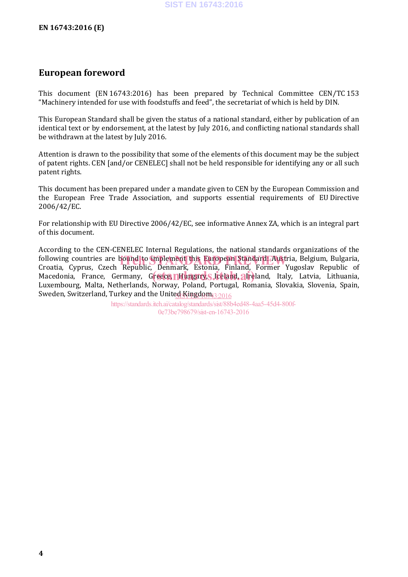### **European foreword**

This document (EN 16743:2016) has been prepared by Technical Committee CEN/TC 153 "Machinery intended for use with foodstuffs and feed", the secretariat of which is held by DIN.

This European Standard shall be given the status of a national standard, either by publication of an identical text or by endorsement, at the latest by July 2016, and conflicting national standards shall be withdrawn at the latest by July 2016.

Attention is drawn to the possibility that some of the elements of this document may be the subject of patent rights. CEN [and/or CENELEC] shall not be held responsible for identifying any or all such patent rights.

This document has been prepared under a mandate given to CEN by the European Commission and the European Free Trade Association, and supports essential requirements of EU Directive 2006/42/EC.

For relationship with EU Directive 2006/42/EC, see informative Annex ZA, which is an integral part of this document.

According to the CEN-CENELEC Internal Regulations, the national standards organizations of the following countries are bound to implement this European Standard: Austria, Belgium, Bulgaria, in the Standard<br>Croatia, Cynrus, Czech, Republic, Denmark, Estonia, Finland, Former Yugoslav, Republic, of Croatia, Cyprus, Czech Republic, Denmark, Estonia, Finland, Former Yugoslav Republic of Macedonia, France, Germany, Greece, Hungary, Streland, Ireland, Italy, Latvia, Lithuania, Luxembourg, Malta, Netherlands, Norway, Poland, Portugal, Romania, Slovakia, Slovenia, Spain, Sweden, Switzerland, Turkey and the Unite<u>d Kingdom<sub>43:2016</sub></u>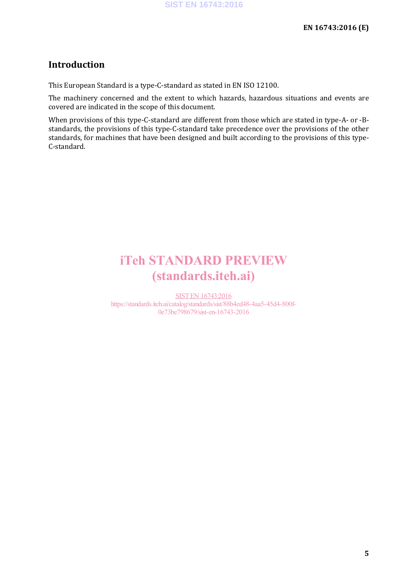### **Introduction**

This European Standard is a type-C-standard as stated in EN ISO 12100.

The machinery concerned and the extent to which hazards, hazardous situations and events are covered are indicated in the scope of this document.

When provisions of this type-C-standard are different from those which are stated in type-A- or -Bstandards, the provisions of this type-C-standard take precedence over the provisions of the other standards, for machines that have been designed and built according to the provisions of this type-C-standard.

## iTeh STANDARD PREVIEW (standards.iteh.ai)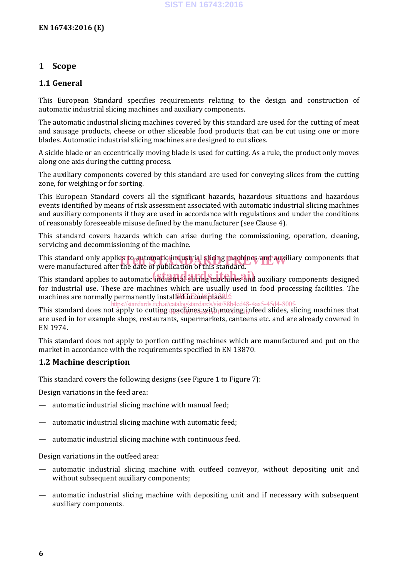### **1 Scope**

### **1.1 General**

This European Standard specifies requirements relating to the design and construction of automatic industrial slicing machines and auxiliary components.

The automatic industrial slicing machines covered by this standard are used for the cutting of meat and sausage products, cheese or other sliceable food products that can be cut using one or more blades. Automatic industrial slicing machines are designed to cut slices.

A sickle blade or an eccentrically moving blade is used for cutting. As a rule, the product only moves along one axis during the cutting process.

The auxiliary components covered by this standard are used for conveying slices from the cutting zone, for weighing or for sorting.

This European Standard covers all the significant hazards, hazardous situations and hazardous events identified by means of risk assessment associated with automatic industrial slicing machines and auxiliary components if they are used in accordance with regulations and under the conditions of reasonably foreseeable misuse defined by the manufacturer (see Clause 4).

This standard covers hazards which can arise during the commissioning, operation, cleaning, servicing and decommissioning of the machine.

This standard only applies to automatic industrial slicing machines/and auxiliary components that<br>were manufactured after the date of nublication of this standard. were manufactured after the date of publication of this standard.

This standard applies to automatic industrial slicing machines and auxiliary components designed for industrial use. These are machines which are usually used in food processing facilities. The machines are normally permanently installed in one place.

This standard does not apply to cutting machines with moving infeed slides, slicing machines that are used in for example shops, restaurants, supermarkets, canteens etc. and are already covered in EN 1974. https://standards.iteh.ai/catalog/standards/sist/88b4ed48-4aa5-45d4-800f-<u>1DE3MAGHIN9SisWIFD | MQYING I</u>

This standard does not apply to portion cutting machines which are manufactured and put on the market in accordance with the requirements specified in EN 13870.

### **1.2 Machine description**

This standard covers the following designs (see Figure 1 to Figure 7):

Design variations in the feed area:

- automatic industrial slicing machine with manual feed;
- automatic industrial slicing machine with automatic feed;
- automatic industrial slicing machine with continuous feed.

Design variations in the outfeed area:

- automatic industrial slicing machine with outfeed conveyor, without depositing unit and without subsequent auxiliary components;
- automatic industrial slicing machine with depositing unit and if necessary with subsequent auxiliary components.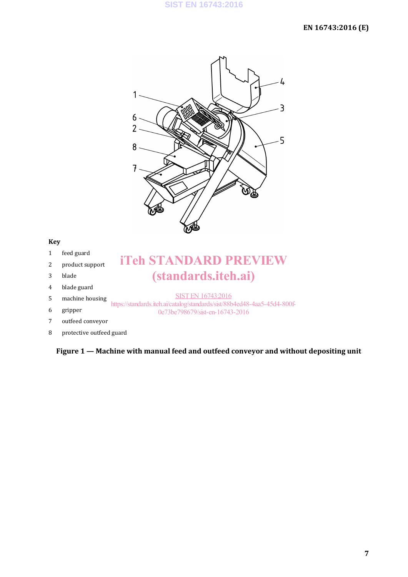

- 1 feed guard
- 2 product support
- 3 blade
- 4 blade guard
- 5 machine housing

#### 6 gripper

- 7 outfeed conveyor
- 8 protective outfeed guard

### **Figure 1 — Machine with manual feed and outfeed conveyor and without depositing unit**

iTeh STANDARD PREVIEW

(standards.iteh.ai)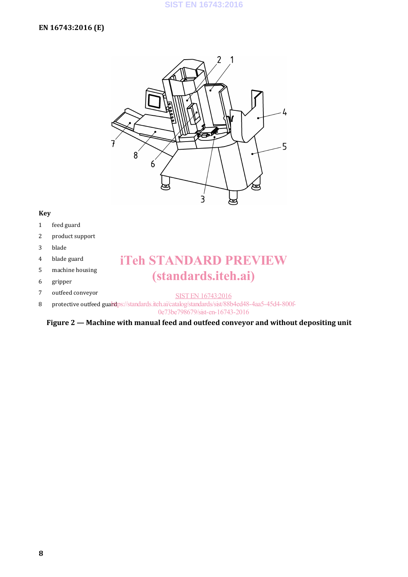

- 1 feed guard
- 2 product support
- 3 blade
- 4 blade guard
- 5 machine housing
- 6 gripper
- 7 outfeed conveyor

## iTeh STANDARD PREVIEW (standards.iteh.ai)

- SIST EN 16743:2016
- 8 protective outfeed guard ps://standards.iteh.ai/catalog/standards/sist/88b4ed48-4aa5-45d4-800f-

0e73be798679/sist-en-16743-2016

**Figure 2 — Machine with manual feed and outfeed conveyor and without depositing unit**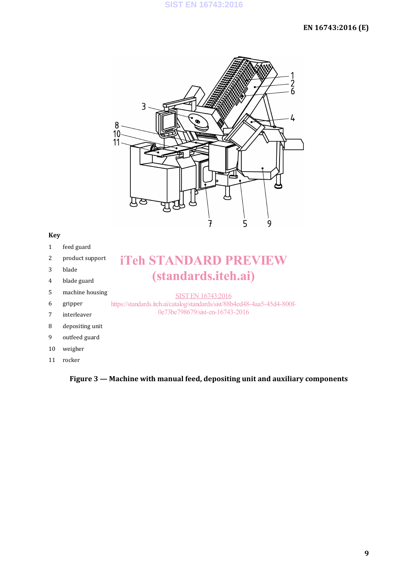### **EN 16743:2016 (E)**



#### **Key**

- 1 feed guard
- 2 product support
- 3 blade
- 4 blade guard
- 5 machine housing

#### 6 gripper

- 7 interleaver
- 8 depositing unit
- 9 outfeed guard
- 10 weigher
- 11 rocker

## iTeh STANDARD PREVIEW (standards.iteh.ai)

### SIST EN 16743:2016

https://standards.iteh.ai/catalog/standards/sist/88b4ed48-4aa5-45d4-800f-0e73be798679/sist-en-16743-2016

# **Figure 3 — Machine with manual feed, depositing unit and auxiliary components**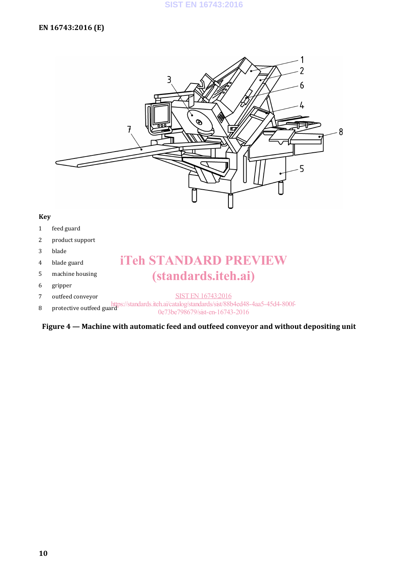

- 1 feed guard
- 2 product support
- 3 blade
- 4 blade guard
- 5 machine housing
- 6 gripper
- 7 outfeed conveyor

## iTeh STANDARD PREVIEW (standards.iteh.ai)

- SIST EN 16743:2016
- 8 protective outfeed guard<br>  $\frac{https://standards.iteh.ai/catalog/standards/sist/88b4ed48-4aa5-45d4-800f-0.023be70/sicten 16743-2016}{}$

0e73be798679/sist-en-16743-2016

**Figure 4 — Machine with automatic feed and outfeed conveyor and without depositing unit**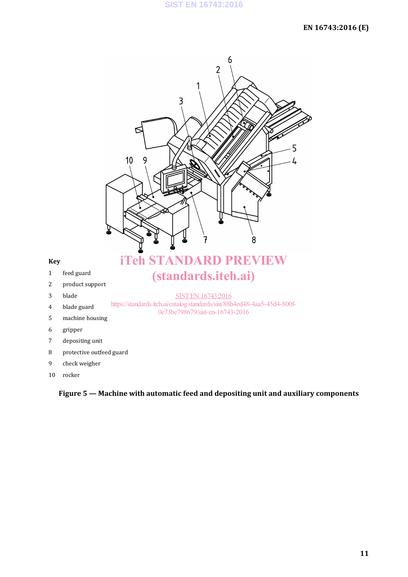

10 rocker

**Figure 5 — Machine with automatic feed and depositing unit and auxiliary components**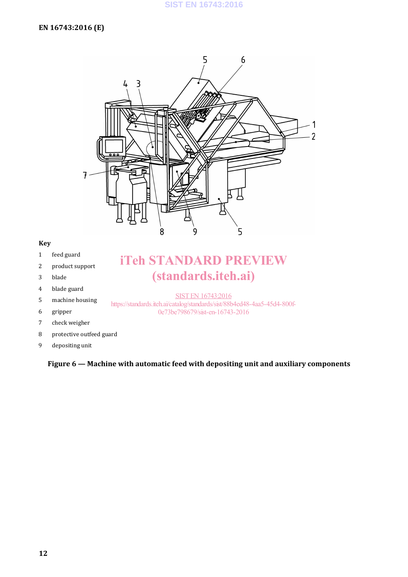

- 1 feed guard
- 2 product support
- 3 blade
- 4 blade guard
- 5 machine housing
- 6 gripper
- 7 check weigher
- 8 protective outfeed guard
- 9 depositing unit

### **Figure 6 — Machine with automatic feed with depositing unit and auxiliary components**

iTeh STANDARD PREVIEW

(standards.iteh.ai)